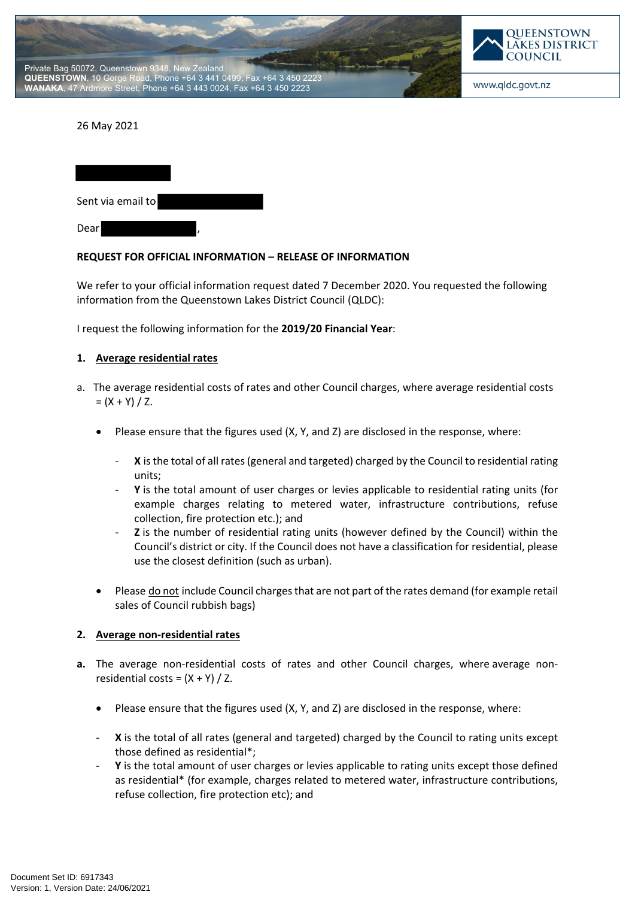



#### 26 May 2021

| Sent via email to |  |
|-------------------|--|
| Dear              |  |

#### **REQUEST FOR OFFICIAL INFORMATION – RELEASE OF INFORMATION**

We refer to your official information request dated 7 December 2020. You requested the following information from the Queenstown Lakes District Council (QLDC):

I request the following information for the **2019/20 Financial Year**:

#### **1. Average residential rates**

- a. The average residential costs of rates and other Council charges, where average residential costs  $= (X + Y) / Z$ .
	- Please ensure that the figures used (X, Y, and Z) are disclosed in the response, where:
		- X is the total of all rates (general and targeted) charged by the Council to residential rating units;
		- Y is the total amount of user charges or levies applicable to residential rating units (for example charges relating to metered water, infrastructure contributions, refuse collection, fire protection etc.); and
		- **Z** is the number of residential rating units (however defined by the Council) within the Council's district or city. If the Council does not have a classification for residential, please use the closest definition (such as urban).
	- Please do not include Council charges that are not part of the rates demand (for example retail sales of Council rubbish bags)

### **2. Average non-residential rates**

- **a.** The average non-residential costs of rates and other Council charges, where average nonresidential costs =  $(X + Y) / Z$ .
	- Please ensure that the figures used (X, Y, and Z) are disclosed in the response, where:
	- X is the total of all rates (general and targeted) charged by the Council to rating units except those defined as residential\*;
	- Y is the total amount of user charges or levies applicable to rating units except those defined as residential\* (for example, charges related to metered water, infrastructure contributions, refuse collection, fire protection etc); and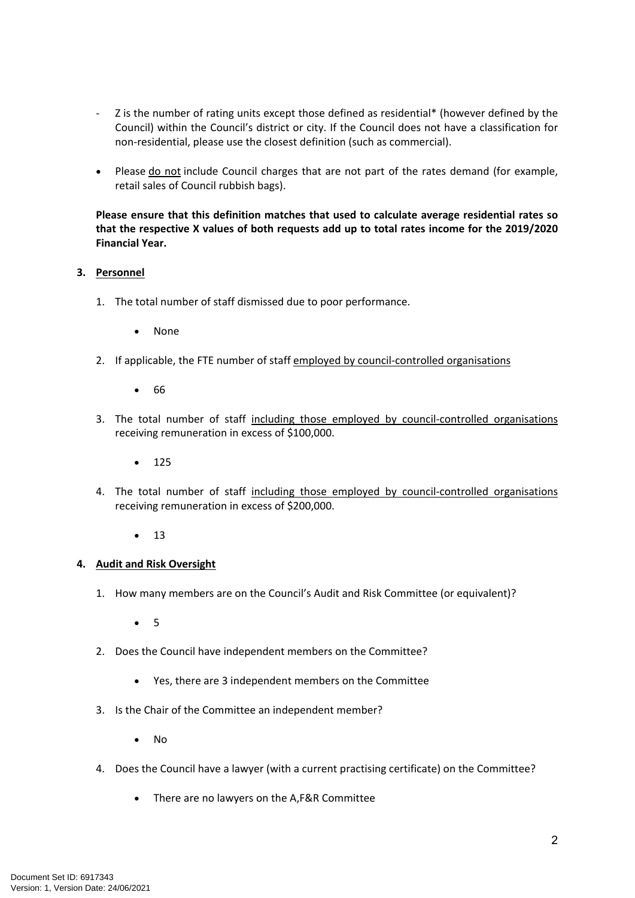- Z is the number of rating units except those defined as residential\* (however defined by the Council) within the Council's district or city. If the Council does not have a classification for non-residential, please use the closest definition (such as commercial).
- Please do not include Council charges that are not part of the rates demand (for example, retail sales of Council rubbish bags).

**Please ensure that this definition matches that used to calculate average residential rates so that the respective X values of both requests add up to total rates income for the 2019/2020 Financial Year.**

## **3. Personnel**

- 1. The total number of staff dismissed due to poor performance.
	- None
- 2. If applicable, the FTE number of staff employed by council-controlled organisations
	- $66$
- 3. The total number of staff including those employed by council-controlled organisations receiving remuneration in excess of \$100,000.
	- $125$
- 4. The total number of staff including those employed by council-controlled organisations receiving remuneration in excess of \$200,000.
	- $\bullet$  13

### **4. Audit and Risk Oversight**

- 1. How many members are on the Council's Audit and Risk Committee (or equivalent)?
	- $5$
- 2. Does the Council have independent members on the Committee?
	- Yes, there are 3 independent members on the Committee
- 3. Is the Chair of the Committee an independent member?
	- No
- 4. Does the Council have a lawyer (with a current practising certificate) on the Committee?
	- There are no lawyers on the A,F&R Committee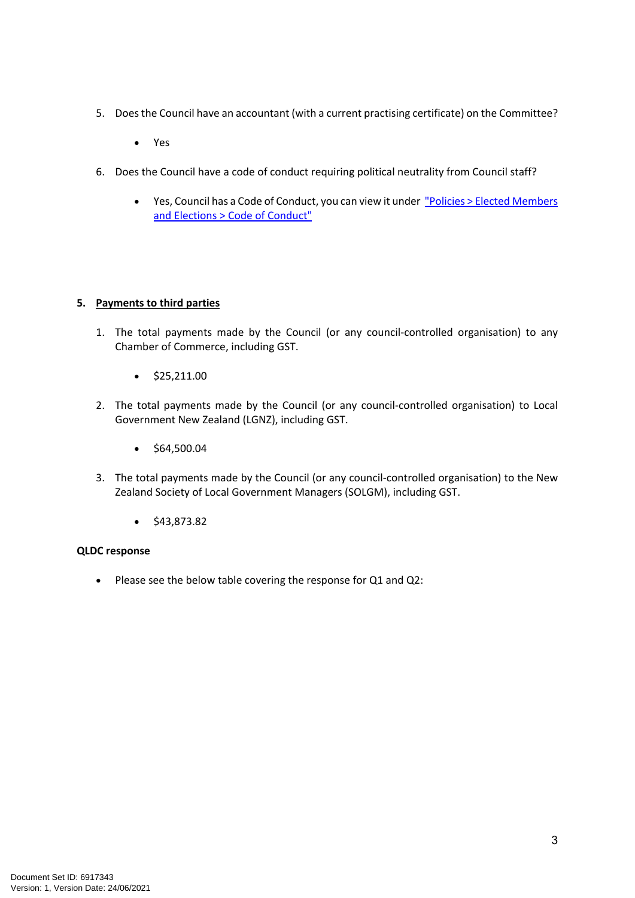- 5. Does the Council have an accountant (with a current practising certificate) on the Committee?
	- Yes
- 6. Does the Council have a code of conduct requiring political neutrality from Council staff?
	- Yes, Council has a Code of Conduct, you can view it under "Policies > Elected Members and Elections > Code of Conduct"

# **5. Payments to third parties**

- 1. The total payments made by the Council (or any council-controlled organisation) to any Chamber of Commerce, including GST.
	- $\bullet$  \$25,211.00
- 2. The total payments made by the Council (or any council-controlled organisation) to Local Government New Zealand (LGNZ), including GST.
	- $\bullet$  \$64,500.04
- 3. The total payments made by the Council (or any council-controlled organisation) to the New Zealand Society of Local Government Managers (SOLGM), including GST.
	- $\bullet$  \$43,873.82

# **QLDC response**

Please see the below table covering the response for Q1 and Q2: